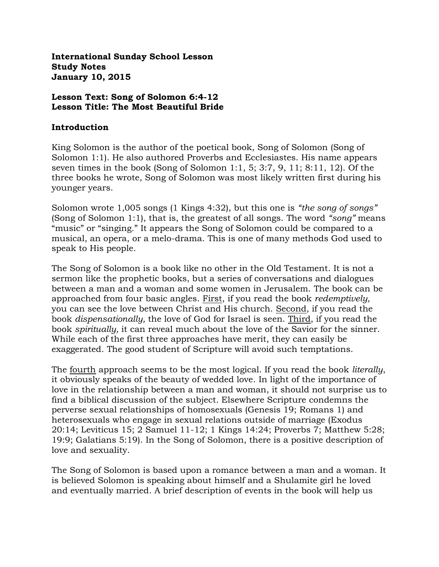**International Sunday School Lesson Study Notes January 10, 2015**

#### **Lesson Text: Song of Solomon 6:4-12 Lesson Title: The Most Beautiful Bride**

#### **Introduction**

King Solomon is the author of the poetical book, Song of Solomon (Song of Solomon 1:1). He also authored Proverbs and Ecclesiastes. His name appears seven times in the book (Song of Solomon 1:1, 5; 3:7, 9, 11; 8:11, 12). Of the three books he wrote, Song of Solomon was most likely written first during his younger years.

Solomon wrote 1,005 songs (1 Kings 4:32), but this one is *"the song of songs"*  (Song of Solomon 1:1), that is, the greatest of all songs. The word *"song"* means "music" or "singing." It appears the Song of Solomon could be compared to a musical, an opera, or a melo-drama. This is one of many methods God used to speak to His people.

The Song of Solomon is a book like no other in the Old Testament. It is not a sermon like the prophetic books, but a series of conversations and dialogues between a man and a woman and some women in Jerusalem. The book can be approached from four basic angles. First, if you read the book *redemptively,* you can see the love between Christ and His church. Second, if you read the book *dispensationally,* the love of God for Israel is seen. Third, if you read the book *spiritually,* it can reveal much about the love of the Savior for the sinner. While each of the first three approaches have merit, they can easily be exaggerated. The good student of Scripture will avoid such temptations.

The fourth approach seems to be the most logical. If you read the book *literally*, it obviously speaks of the beauty of wedded love. In light of the importance of love in the relationship between a man and woman, it should not surprise us to find a biblical discussion of the subject. Elsewhere Scripture condemns the perverse sexual relationships of homosexuals (Genesis 19; Romans 1) and heterosexuals who engage in sexual relations outside of marriage (Exodus 20:14; Leviticus 15; 2 Samuel 11-12; 1 Kings 14:24; Proverbs 7; Matthew 5:28; 19:9; Galatians 5:19). In the Song of Solomon, there is a positive description of love and sexuality.

The Song of Solomon is based upon a romance between a man and a woman. It is believed Solomon is speaking about himself and a Shulamite girl he loved and eventually married. A brief description of events in the book will help us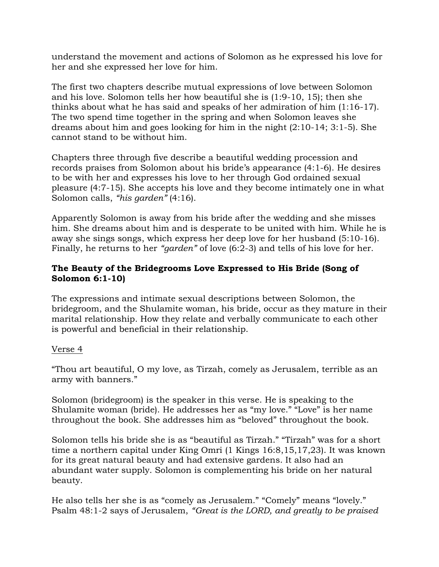understand the movement and actions of Solomon as he expressed his love for her and she expressed her love for him.

The first two chapters describe mutual expressions of love between Solomon and his love. Solomon tells her how beautiful she is (1:9-10, 15); then she thinks about what he has said and speaks of her admiration of him (1:16-17). The two spend time together in the spring and when Solomon leaves she dreams about him and goes looking for him in the night (2:10-14; 3:1-5). She cannot stand to be without him.

Chapters three through five describe a beautiful wedding procession and records praises from Solomon about his bride's appearance (4:1-6). He desires to be with her and expresses his love to her through God ordained sexual pleasure (4:7-15). She accepts his love and they become intimately one in what Solomon calls, *"his garden"* (4:16).

Apparently Solomon is away from his bride after the wedding and she misses him. She dreams about him and is desperate to be united with him. While he is away she sings songs, which express her deep love for her husband (5:10-16). Finally, he returns to her *"garden"* of love (6:2-3) and tells of his love for her.

# **The Beauty of the Bridegrooms Love Expressed to His Bride (Song of Solomon 6:1-10)**

The expressions and intimate sexual descriptions between Solomon, the bridegroom, and the Shulamite woman, his bride, occur as they mature in their marital relationship. How they relate and verbally communicate to each other is powerful and beneficial in their relationship.

## Verse 4

"Thou art beautiful, O my love, as Tirzah, comely as Jerusalem, terrible as an army with banners."

Solomon (bridegroom) is the speaker in this verse. He is speaking to the Shulamite woman (bride). He addresses her as "my love." "Love" is her name throughout the book. She addresses him as "beloved" throughout the book.

Solomon tells his bride she is as "beautiful as Tirzah." "Tirzah" was for a short time a northern capital under King Omri (1 Kings 16:8,15,17,23). It was known for its great natural beauty and had extensive gardens. It also had an abundant water supply. Solomon is complementing his bride on her natural beauty.

He also tells her she is as "comely as Jerusalem." "Comely" means "lovely." Psalm 48:1-2 says of Jerusalem, *"Great is the LORD, and greatly to be praised*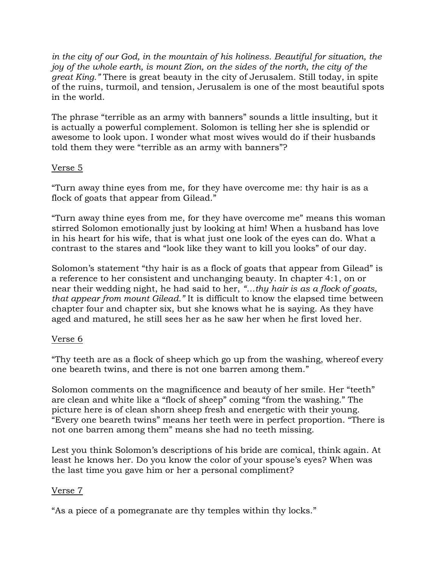*in the city of our God, in the mountain of his holiness. Beautiful for situation, the joy of the whole earth, is mount Zion, on the sides of the north, the city of the great King."* There is great beauty in the city of Jerusalem. Still today, in spite of the ruins, turmoil, and tension, Jerusalem is one of the most beautiful spots in the world.

The phrase "terrible as an army with banners" sounds a little insulting, but it is actually a powerful complement. Solomon is telling her she is splendid or awesome to look upon. I wonder what most wives would do if their husbands told them they were "terrible as an army with banners"?

### Verse 5

"Turn away thine eyes from me, for they have overcome me: thy hair is as a flock of goats that appear from Gilead."

"Turn away thine eyes from me, for they have overcome me" means this woman stirred Solomon emotionally just by looking at him! When a husband has love in his heart for his wife, that is what just one look of the eyes can do. What a contrast to the stares and "look like they want to kill you looks" of our day.

Solomon's statement "thy hair is as a flock of goats that appear from Gilead" is a reference to her consistent and unchanging beauty. In chapter 4:1, on or near their wedding night, he had said to her, *"…thy hair is as a flock of goats, that appear from mount Gilead."* It is difficult to know the elapsed time between chapter four and chapter six, but she knows what he is saying. As they have aged and matured, he still sees her as he saw her when he first loved her.

## Verse 6

"Thy teeth are as a flock of sheep which go up from the washing, whereof every one beareth twins, and there is not one barren among them."

Solomon comments on the magnificence and beauty of her smile. Her "teeth" are clean and white like a "flock of sheep" coming "from the washing." The picture here is of clean shorn sheep fresh and energetic with their young. "Every one beareth twins" means her teeth were in perfect proportion. "There is not one barren among them" means she had no teeth missing.

Lest you think Solomon's descriptions of his bride are comical, think again. At least he knows her. Do you know the color of your spouse's eyes? When was the last time you gave him or her a personal compliment?

## Verse 7

"As a piece of a pomegranate are thy temples within thy locks."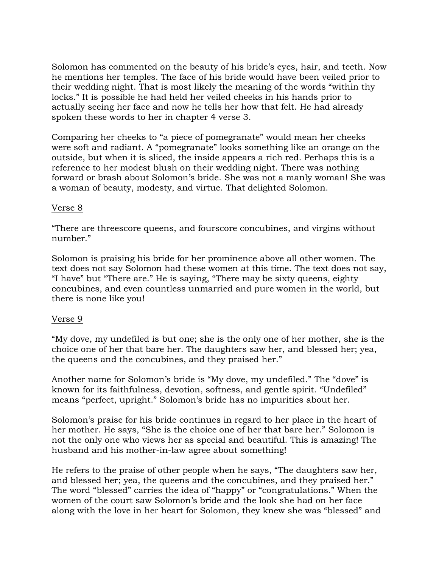Solomon has commented on the beauty of his bride's eyes, hair, and teeth. Now he mentions her temples. The face of his bride would have been veiled prior to their wedding night. That is most likely the meaning of the words "within thy locks." It is possible he had held her veiled cheeks in his hands prior to actually seeing her face and now he tells her how that felt. He had already spoken these words to her in chapter 4 verse 3.

Comparing her cheeks to "a piece of pomegranate" would mean her cheeks were soft and radiant. A "pomegranate" looks something like an orange on the outside, but when it is sliced, the inside appears a rich red. Perhaps this is a reference to her modest blush on their wedding night. There was nothing forward or brash about Solomon's bride. She was not a manly woman! She was a woman of beauty, modesty, and virtue. That delighted Solomon.

### Verse 8

"There are threescore queens, and fourscore concubines, and virgins without number."

Solomon is praising his bride for her prominence above all other women. The text does not say Solomon had these women at this time. The text does not say, "I have" but "There are." He is saying, "There may be sixty queens, eighty concubines, and even countless unmarried and pure women in the world, but there is none like you!

#### Verse 9

"My dove, my undefiled is but one; she is the only one of her mother, she is the choice one of her that bare her. The daughters saw her, and blessed her; yea, the queens and the concubines, and they praised her."

Another name for Solomon's bride is "My dove, my undefiled." The "dove" is known for its faithfulness, devotion, softness, and gentle spirit. "Undefiled" means "perfect, upright." Solomon's bride has no impurities about her.

Solomon's praise for his bride continues in regard to her place in the heart of her mother. He says, "She is the choice one of her that bare her." Solomon is not the only one who views her as special and beautiful. This is amazing! The husband and his mother-in-law agree about something!

He refers to the praise of other people when he says, "The daughters saw her, and blessed her; yea, the queens and the concubines, and they praised her." The word "blessed" carries the idea of "happy" or "congratulations." When the women of the court saw Solomon's bride and the look she had on her face along with the love in her heart for Solomon, they knew she was "blessed" and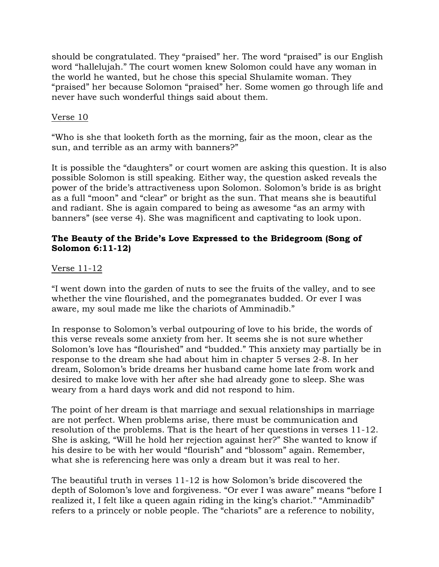should be congratulated. They "praised" her. The word "praised" is our English word "hallelujah." The court women knew Solomon could have any woman in the world he wanted, but he chose this special Shulamite woman. They "praised" her because Solomon "praised" her. Some women go through life and never have such wonderful things said about them.

### Verse 10

"Who is she that looketh forth as the morning, fair as the moon, clear as the sun, and terrible as an army with banners?"

It is possible the "daughters" or court women are asking this question. It is also possible Solomon is still speaking. Either way, the question asked reveals the power of the bride's attractiveness upon Solomon. Solomon's bride is as bright as a full "moon" and "clear" or bright as the sun. That means she is beautiful and radiant. She is again compared to being as awesome "as an army with banners" (see verse 4). She was magnificent and captivating to look upon.

### **The Beauty of the Bride's Love Expressed to the Bridegroom (Song of Solomon 6:11-12)**

### Verse 11-12

"I went down into the garden of nuts to see the fruits of the valley, and to see whether the vine flourished, and the pomegranates budded. Or ever I was aware, my soul made me like the chariots of Amminadib."

In response to Solomon's verbal outpouring of love to his bride, the words of this verse reveals some anxiety from her. It seems she is not sure whether Solomon's love has "flourished" and "budded." This anxiety may partially be in response to the dream she had about him in chapter 5 verses 2-8. In her dream, Solomon's bride dreams her husband came home late from work and desired to make love with her after she had already gone to sleep. She was weary from a hard days work and did not respond to him.

The point of her dream is that marriage and sexual relationships in marriage are not perfect. When problems arise, there must be communication and resolution of the problems. That is the heart of her questions in verses 11-12. She is asking, "Will he hold her rejection against her?" She wanted to know if his desire to be with her would "flourish" and "blossom" again. Remember, what she is referencing here was only a dream but it was real to her.

The beautiful truth in verses 11-12 is how Solomon's bride discovered the depth of Solomon's love and forgiveness. "Or ever I was aware" means "before I realized it, I felt like a queen again riding in the king's chariot." "Amminadib" refers to a princely or noble people. The "chariots" are a reference to nobility,